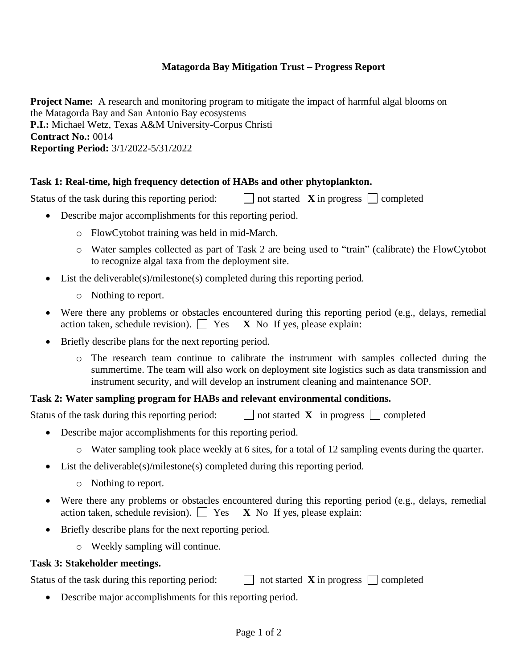## **Matagorda Bay Mitigation Trust – Progress Report**

**Project Name:** A research and monitoring program to mitigate the impact of harmful algal blooms on the Matagorda Bay and San Antonio Bay ecosystems **P.I.:** Michael Wetz, Texas A&M University-Corpus Christi **Contract No.:** 0014 **Reporting Period:** 3/1/2022-5/31/2022

## **Task 1: Real-time, high frequency detection of HABs and other phytoplankton.**

Status of the task during this reporting period:  $\Box$  not started **X** in progress  $\Box$  completed

- Describe major accomplishments for this reporting period.
	- o FlowCytobot training was held in mid-March.
	- o Water samples collected as part of Task 2 are being used to "train" (calibrate) the FlowCytobot to recognize algal taxa from the deployment site.
- List the deliverable(s)/milestone(s) completed during this reporting period.
	- o Nothing to report.
- Were there any problems or obstacles encountered during this reporting period (e.g., delays, remedial action taken, schedule revision).  $\Box$  Yes **X** No If yes, please explain:
- Briefly describe plans for the next reporting period.
	- o The research team continue to calibrate the instrument with samples collected during the summertime. The team will also work on deployment site logistics such as data transmission and instrument security, and will develop an instrument cleaning and maintenance SOP.

## **Task 2: Water sampling program for HABs and relevant environmental conditions.**

Status of the task during this reporting period:  $\Box$  not started **X** in progress  $\Box$  completed

- Describe major accomplishments for this reporting period.
	- o Water sampling took place weekly at 6 sites, for a total of 12 sampling events during the quarter.
- List the deliverable(s)/milestone(s) completed during this reporting period.
	- o Nothing to report.
- Were there any problems or obstacles encountered during this reporting period (e.g., delays, remedial action taken, schedule revision).  $\Box$  Yes **X** No If yes, please explain:
- Briefly describe plans for the next reporting period.
	- o Weekly sampling will continue.

## **Task 3: Stakeholder meetings.**

Status of the task during this reporting period:  $\Box$  not started **X** in progress  $\Box$  completed

• Describe major accomplishments for this reporting period.